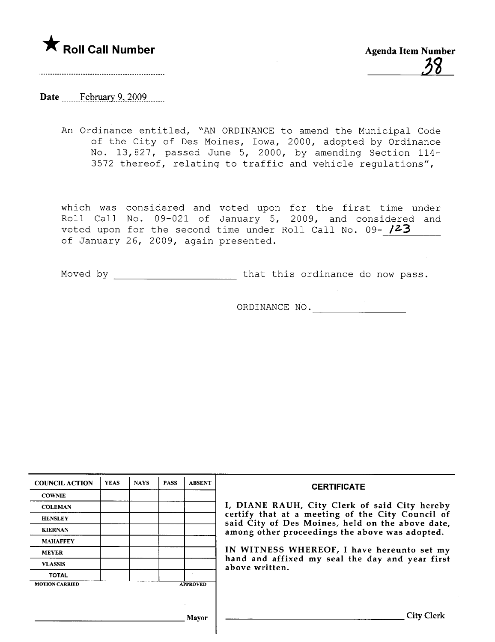

# Date \_\_\_\_\_\_February 9, 2009

An Ordinance entitled, "AN ORDINANCE to amend the Municipal Code of the City of Des Moines, Iowa, 2000, adopted by Ordinance No. 13,827, passed June 5, 2000, by amending Section 114- 3572 thereof, relating to traffic and vehicle regulations",

which was considered and voted upon for the first time under Roll Call No. 09-021 of January 5, 2009, and considered and voted upon for the second time under Roll Call No. 09- 123 of January 26, 2009, again presented.

Moved by that this ordinance do now pass.

ORDINANCE NO.

| <b>COUNCIL ACTION</b> | <b>YEAS</b> | <b>NAYS</b> | <b>PASS</b> | <b>ABSENT</b>   | <b>CERTIFICATE</b>                                                                                   |
|-----------------------|-------------|-------------|-------------|-----------------|------------------------------------------------------------------------------------------------------|
| <b>COWNIE</b>         |             |             |             |                 |                                                                                                      |
| <b>COLEMAN</b>        |             |             |             |                 | I, DIANE RAUH, City Clerk of said City hereby                                                        |
| <b>HENSLEY</b>        |             |             |             |                 | certify that at a meeting of the City Council of<br>said City of Des Moines, held on the above date, |
| <b>KIERNAN</b>        |             |             |             |                 | among other proceedings the above was adopted.                                                       |
| <b>MAHAFFEY</b>       |             |             |             |                 |                                                                                                      |
| <b>MEYER</b>          |             |             |             |                 | IN WITNESS WHEREOF, I have hereunto set my                                                           |
| <b>VLASSIS</b>        |             |             |             |                 | hand and affixed my seal the day and year first<br>above written.                                    |
| <b>TOTAL</b>          |             |             |             |                 |                                                                                                      |
| <b>MOTION CARRIED</b> |             |             |             | <b>APPROVED</b> |                                                                                                      |
|                       |             |             |             |                 |                                                                                                      |
|                       |             |             |             |                 |                                                                                                      |
|                       |             |             |             | Mavor           | <b>City Clerk</b>                                                                                    |
|                       |             |             |             |                 |                                                                                                      |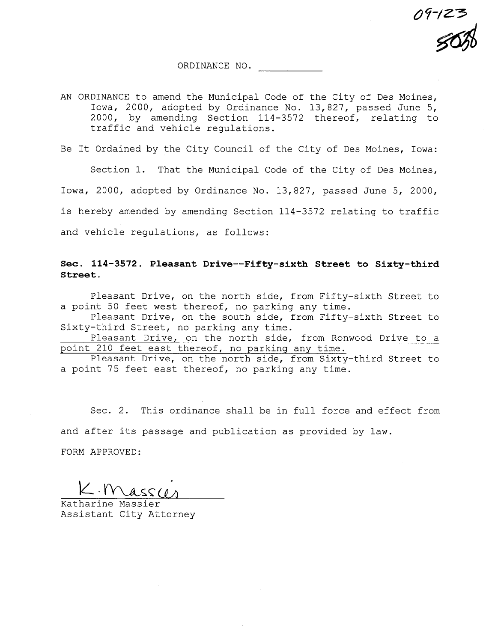09-123<br><mark>{</mark>0}

ORDINANCE NO.

AN ORDINANCE to amend the Municipal Code of the City of Des Moines, Iowa, 2000, adopted by Ordinance No. 13,827, passed June 5, 2000, by amending Section 114-3572 thereof, relating to traffic and vehicle regulations.

Be It Ordained by the City Council of the City of Des Moines, Iowa:

Section 1. That the Municipal Code of the City of Des Moines, Iowa, 2000, adopted by Ordinance No. 13,827, passed June 5, 2000, is hereby amended by amending Section 114-3572 relating to traffic and vehicle regulations, as follows:

#### Sec. 114-3572. Pleasant Drive--Fifty-sixth Street to Sixty-third Street.

Pleasant Drive, on the north side, from Fifty-sixth Street to a point 50 feet west thereof, no parking any time.

Pleasant Drive, on the south side, from Fifty-sixth Street to Sixty-third Street, no parking any time.

Pleasant Drive, on the north side, from Ronwood Drive to a point 210 feet east thereof, no parking any time.

Pleasant Drive, on the north side, from Sixty-third Street to a point 75 feet east thereof, no parking any time.

Sec. 2. This ordinance shall be in full force and effect from and after its passage and publication as provided by law.

FORM APPROVED:

 $K.$  Mass $\omega$ 

Katharine Massier Assistant City Attorney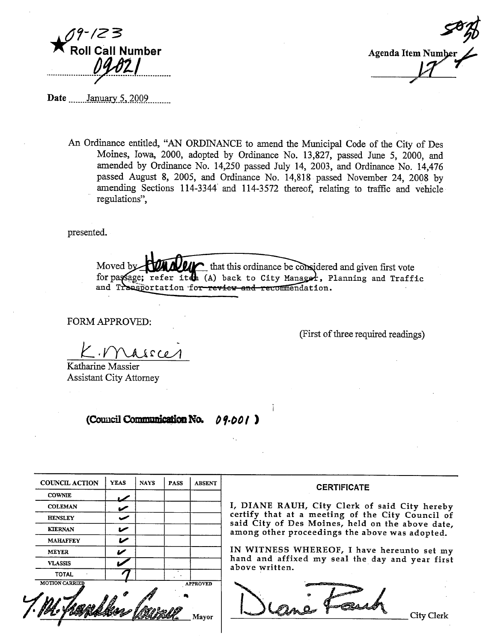



Date  $\frac{\text{January } 5, 2009}{\text{Maximum } 5}$ 

An Ordinance entitled, "AN ORDINANCE to amend the Municipal Code of the City of Des Moines, Iowa, 2000, adopted by Ordinance No. 13,827, passed June 5, 2000, and amended by Ordinance No. 14,250 passed July 14, 2003, and Ordinance No. 14,476 passed August 8, 2005, and Ordinance No. 14,818 passed November 24, 2008 by amending Sections 114-3344 and 114-3572 thereof, relating to traffic and vehicle regulations",

presented.

Moved b  $\sim$  that this ordinance be considered and given first vote for passage; refer iten (A) back to City Manager, Planning and Traffic and Transportation for review and recommendation.

**FORM APPROVED:** 

(First of three required readings)

 $0.22A$ 

Katharine Massier **Assistant City Attorney** 

#### (Council Communication No. 09.001)

| <b>COUNCIL ACTION</b> | <b>YEAS</b> | <b>NAYS</b> | <b>PASS</b> | <b>ABSENT</b>   |
|-----------------------|-------------|-------------|-------------|-----------------|
| <b>COWNIE</b>         |             |             |             |                 |
| <b>COLEMAN</b>        |             |             |             |                 |
| <b>HENSLEY</b>        |             |             |             |                 |
| <b>KIERNAN</b>        |             |             |             |                 |
| <b>MAHAFFEY</b>       |             |             |             |                 |
| <b>MEYER</b>          |             |             |             |                 |
| <b>VLASSIS</b>        |             |             |             |                 |
| <b>TOTAL</b>          |             |             |             |                 |
| <b>MOTION CARRIED</b> |             |             |             | <b>APPROVED</b> |
|                       |             |             |             |                 |

#### **CERTIFICATE**

I, DIANE RAUH, City Clerk of said City hereby certify that at a meeting of the City Council of<br>said City of Des Moines, held on the above date, among other proceedings the above was adopted.

IN WITNESS WHEREOF, I have hereunto set my hand and affixed my seal the day and year first above written.

Lane For

**City Clerk**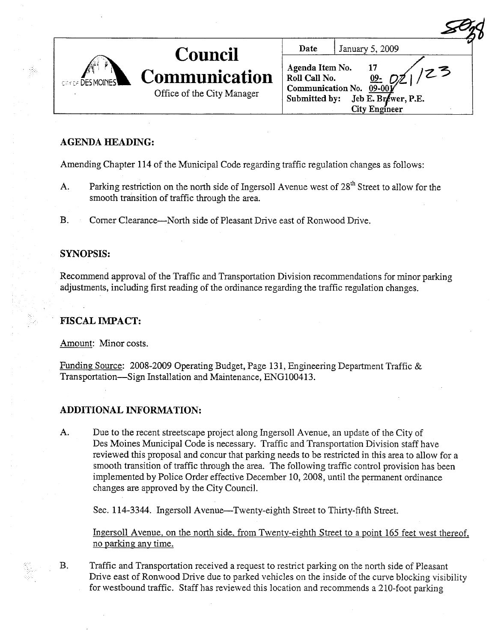| <b>CRY OF DESMOINES</b> | <b>Council</b>                                     | Date                                                                                                                                             | January 5, 2009 |
|-------------------------|----------------------------------------------------|--------------------------------------------------------------------------------------------------------------------------------------------------|-----------------|
|                         | <b>Communication</b><br>Office of the City Manager | Agenda Item No.<br>ク3<br>Roll Call No.<br><u>09-</u><br>Communication No. 09-001<br>Submitted by:<br>Jeb E. Brewer, P.E.<br><b>City Engineer</b> |                 |

## AGENDA HEADING:

Amending Chapter 114 of the Municipal Code regarding traffic regulation changes as follows:

- A. Parking restriction on the north side of Ingersoll Avenue west of 28<sup>th</sup> Street to allow for the smooth transition of traffic through the area.
- B. Comer Clearance—North side of Pleasant Drive east of Ronwood Drive.

#### SYNOPSIS:

Recommend approval of the Traffic and Transportation Division recommendations for minor parking adjustments, including first reading of the ordinance regarding the traffic regulation changes.

### FISCAL IMPACT:

Amount: Minor costs.

Funding Source: 2008-2009 Operating Budget, Page 131, Engineering Department Traffic & Transportation-Sign Installation and Maintenance, ENGlO0413.

### ADDITIONAL INFORMATION:

A. Due to the recent streetscape project along Ingersoll Avenue, an update of the City of Des Moines Municipal Code is necessary. Traffic and Transportation Division staff have reviewed this proposal and concur that parking needs to be restricted in this area to allow for a smooth transition of traffic through the area. The following traffic control provision has been implemented by Police Order effective December 10, 2008, until the permanent ordinance changes are approved by the City CounciL.

Sec. 114-3344. Ingersoll Avenue-Twenty-eighth Street to Thirty-fifth Street.

Ingersoll Avenue, on the north side, from Twenty-eighth Street to a point 165 feet west thereof. no parking any time.

B. Traffic and Transportation received a request to restrict parking on the north side of Pleasant Drive east of Ronwood Drive due to parked vehicles on the inside of the curve blocking visibility for westbound traffic. Staff has reviewed this location and recommends a 21O-foot parking